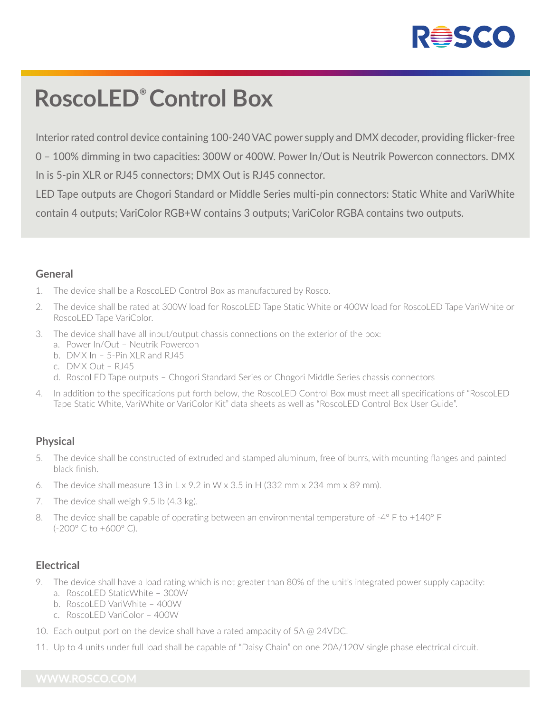

# **RoscoLED® Control Box**

Interior rated control device containing 100-240 VAC power supply and DMX decoder, providing flicker-free 0 – 100% dimming in two capacities: 300W or 400W. Power In/Out is Neutrik Powercon connectors. DMX In is 5-pin XLR or RJ45 connectors; DMX Out is RJ45 connector.

LED Tape outputs are Chogori Standard or Middle Series multi-pin connectors: Static White and VariWhite contain 4 outputs; VariColor RGB+W contains 3 outputs; VariColor RGBA contains two outputs.

#### **General**

- 1. The device shall be a RoscoLED Control Box as manufactured by Rosco.
- 2. The device shall be rated at 300W load for RoscoLED Tape Static White or 400W load for RoscoLED Tape VariWhite or RoscoLED Tape VariColor.
- 3. The device shall have all input/output chassis connections on the exterior of the box:
	- a. Power In/Out Neutrik Powercon
	- b. DMX In 5-Pin XLR and RJ45
	- c. DMX Out RJ45
	- d. RoscoLED Tape outputs Chogori Standard Series or Chogori Middle Series chassis connectors
- 4. In addition to the specifications put forth below, the RoscoLED Control Box must meet all specifications of "RoscoLED Tape Static White, VariWhite or VariColor Kit" data sheets as well as "RoscoLED Control Box User Guide".

## **Physical**

- 5. The device shall be constructed of extruded and stamped aluminum, free of burrs, with mounting flanges and painted black finish.
- 6. The device shall measure 13 in L x 9.2 in W x 3.5 in H (332 mm x 234 mm x 89 mm).
- 7. The device shall weigh 9.5 lb (4.3 kg).
- 8. The device shall be capable of operating between an environmental temperature of -4° F to +140° F (-200° C to +600° C).

## **Electrical**

- 9. The device shall have a load rating which is not greater than 80% of the unit's integrated power supply capacity: a. RoscoLED StaticWhite – 300W
	- b. RoscoLED VariWhite 400W
	- c. RoscoLED VariColor 400W
- 10. Each output port on the device shall have a rated ampacity of 5A @ 24VDC.
- 11. Up to 4 units under full load shall be capable of "Daisy Chain" on one 20A/120V single phase electrical circuit.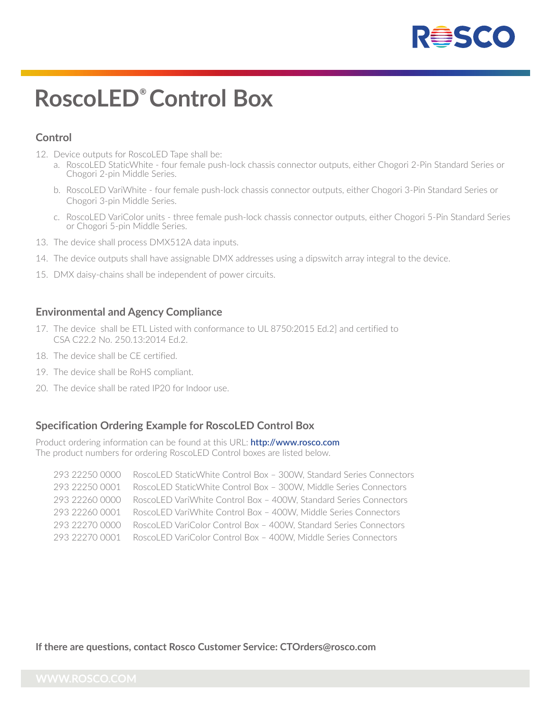

# **RoscoLED® Control Box**

## **Control**

- 12. Device outputs for RoscoLED Tape shall be:
	- a. RoscoLED StaticWhite four female push-lock chassis connector outputs, either Chogori 2-Pin Standard Series or Chogori 2-pin Middle Series.
	- b. RoscoLED VariWhite four female push-lock chassis connector outputs, either Chogori 3-Pin Standard Series or Chogori 3-pin Middle Series.
	- c. RoscoLED VariColor units three female push-lock chassis connector outputs, either Chogori 5-Pin Standard Series or Chogori 5-pin Middle Series.
- 13. The device shall process DMX512A data inputs.
- 14. The device outputs shall have assignable DMX addresses using a dipswitch array integral to the device.
- 15. DMX daisy-chains shall be independent of power circuits.

#### **Environmental and Agency Compliance**

- 17. The device shall be ETL Listed with conformance to UL 8750:2015 Ed.2] and certified to CSA C22.2 No. 250.13:2014 Ed.2.
- 18. The device shall be CE certified.
- 19. The device shall be RoHS compliant.
- 20. The device shall be rated IP20 for Indoor use.

### **Specification Ordering Example for RoscoLED Control Box**

Product ordering information can be found at this URL: **http://www.rosco.com** The product numbers for ordering RoscoLED Control boxes are listed below.

 293 22250 0000 RoscoLED StaticWhite Control Box – 300W, Standard Series Connectors 293 22250 0001 RoscoLED StaticWhite Control Box – 300W, Middle Series Connectors 293 22260 0000 RoscoLED VariWhite Control Box – 400W, Standard Series Connectors 293 22260 0001 RoscoLED VariWhite Control Box – 400W, Middle Series Connectors 293 22270 0000 RoscoLED VariColor Control Box – 400W, Standard Series Connectors 293 22270 0001 RoscoLED VariColor Control Box – 400W, Middle Series Connectors

**If there are questions, contact Rosco Customer Service: CTOrders@rosco.com**